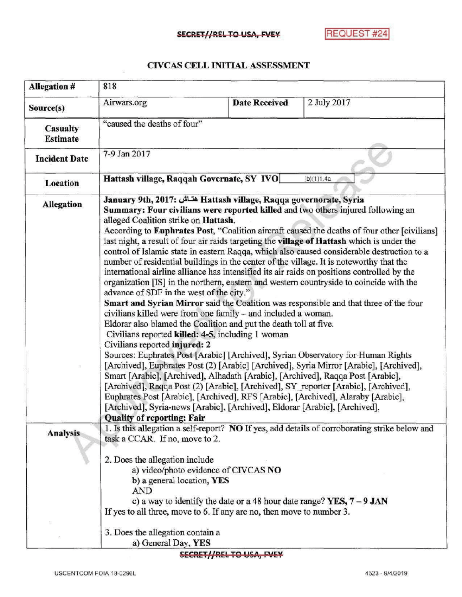## SECRET//REL TO USA, FVEY REQUEST #24

## CIVCAS CELL INITIAL ASSESSMENT

| <b>Allegation #</b>         | 818                                                                                                                                                                                                                                                                                                                                                                                                                                                                                                                                                                                                                                                                                                                                                                                                                                                                                                                                                                                                                                                                                                                                                                                                                                                                                                                                                                                                                                                                                                                                                                                                                                                                                                             |                                                                         |                                                                                               |
|-----------------------------|-----------------------------------------------------------------------------------------------------------------------------------------------------------------------------------------------------------------------------------------------------------------------------------------------------------------------------------------------------------------------------------------------------------------------------------------------------------------------------------------------------------------------------------------------------------------------------------------------------------------------------------------------------------------------------------------------------------------------------------------------------------------------------------------------------------------------------------------------------------------------------------------------------------------------------------------------------------------------------------------------------------------------------------------------------------------------------------------------------------------------------------------------------------------------------------------------------------------------------------------------------------------------------------------------------------------------------------------------------------------------------------------------------------------------------------------------------------------------------------------------------------------------------------------------------------------------------------------------------------------------------------------------------------------------------------------------------------------|-------------------------------------------------------------------------|-----------------------------------------------------------------------------------------------|
| Source(s)                   | Airwars.org                                                                                                                                                                                                                                                                                                                                                                                                                                                                                                                                                                                                                                                                                                                                                                                                                                                                                                                                                                                                                                                                                                                                                                                                                                                                                                                                                                                                                                                                                                                                                                                                                                                                                                     | <b>Date Received</b>                                                    | 2 July 2017                                                                                   |
| Casualty<br><b>Estimate</b> | "caused the deaths of four"                                                                                                                                                                                                                                                                                                                                                                                                                                                                                                                                                                                                                                                                                                                                                                                                                                                                                                                                                                                                                                                                                                                                                                                                                                                                                                                                                                                                                                                                                                                                                                                                                                                                                     |                                                                         |                                                                                               |
| <b>Incident Date</b>        | 7-9 Jan 2017                                                                                                                                                                                                                                                                                                                                                                                                                                                                                                                                                                                                                                                                                                                                                                                                                                                                                                                                                                                                                                                                                                                                                                                                                                                                                                                                                                                                                                                                                                                                                                                                                                                                                                    |                                                                         |                                                                                               |
| Location                    | Hattash village, Raqqah Governate, SY IVO<br>(b)(1)1.4a                                                                                                                                                                                                                                                                                                                                                                                                                                                                                                                                                                                                                                                                                                                                                                                                                                                                                                                                                                                                                                                                                                                                                                                                                                                                                                                                                                                                                                                                                                                                                                                                                                                         |                                                                         |                                                                                               |
| <b>Allegation</b>           | January 9th, 2017: هتــاش Hattash village, Raqqa governorate, Syria<br>Summary: Four civilians were reported killed and two others injured following an<br>alleged Coalition strike on Hattash.<br>According to Euphrates Post, "Coalition aircraft caused the deaths of four other [civilians]<br>last night, a result of four air raids targeting the village of Hattash which is under the<br>control of Islamic state in eastern Raqqa, which also caused considerable destruction to a<br>number of residential buildings in the center of the village. It is noteworthy that the<br>international airline alliance has intensified its air raids on positions controlled by the<br>organization [IS] in the northern, eastern and western countryside to coincide with the<br>advance of SDF in the west of the city."<br>Smart and Syrian Mirror said the Coalition was responsible and that three of the four<br>civilians killed were from one family – and included a woman.<br>Eldorar also blamed the Coalition and put the death toll at five.<br>Civilians reported killed: 4-5, including 1 woman<br>Civilians reported injured: 2<br>Sources: Euphrates Post [Arabic] [Archived], Syrian Observatory for Human Rights<br>[Archived], Euphrates Post (2) [Arabic] [Archived], Syria Mirror [Arabic], [Archived],<br>Smart [Arabic], [Archived], Alhadath [Arabic], [Archived], Raqqa Post [Arabic],<br>[Archived], Raqqa Post (2) [Arabic], [Archived], SY reporter [Arabic], [Archived],<br>Euphrates Post [Arabic], [Archived], RFS [Arabic], [Archived], Alaraby [Arabic],<br>[Archived], Syria-news [Arabic], [Archived], Eldorar [Arabic], [Archived].<br><b>Quality of reporting: Fair</b> |                                                                         |                                                                                               |
| <b>Analysis</b>             | task a CCAR. If no, move to 2.                                                                                                                                                                                                                                                                                                                                                                                                                                                                                                                                                                                                                                                                                                                                                                                                                                                                                                                                                                                                                                                                                                                                                                                                                                                                                                                                                                                                                                                                                                                                                                                                                                                                                  |                                                                         | 1. Is this allegation a self-report? NO If yes, add details of corroborating strike below and |
|                             | 2. Does the allegation include<br>a) video/photo evidence of CIVCAS NO<br>b) a general location, YES                                                                                                                                                                                                                                                                                                                                                                                                                                                                                                                                                                                                                                                                                                                                                                                                                                                                                                                                                                                                                                                                                                                                                                                                                                                                                                                                                                                                                                                                                                                                                                                                            |                                                                         |                                                                                               |
|                             | <b>AND</b><br>If yes to all three, move to 6. If any are no, then move to number 3.                                                                                                                                                                                                                                                                                                                                                                                                                                                                                                                                                                                                                                                                                                                                                                                                                                                                                                                                                                                                                                                                                                                                                                                                                                                                                                                                                                                                                                                                                                                                                                                                                             | c) a way to identify the date or a 48 hour date range? YES, $7 - 9$ JAN |                                                                                               |
|                             | 3. Does the allegation contain a<br>a) General Day, YES                                                                                                                                                                                                                                                                                                                                                                                                                                                                                                                                                                                                                                                                                                                                                                                                                                                                                                                                                                                                                                                                                                                                                                                                                                                                                                                                                                                                                                                                                                                                                                                                                                                         |                                                                         |                                                                                               |

## SECRET//REL TO USA, FVEY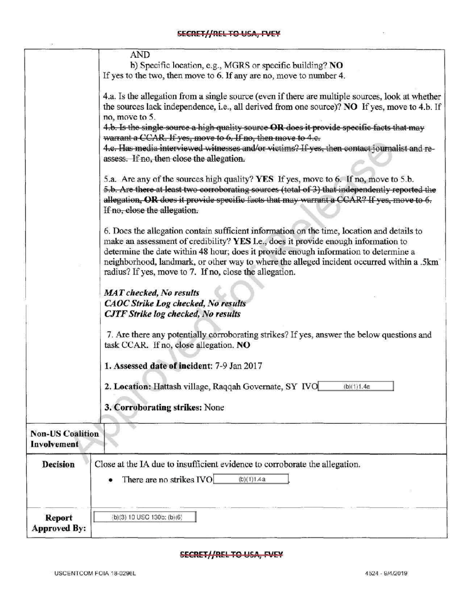|                                        | <b>AND</b>                                                                                                                                                                                                                                                                                                                                                                                                                       |
|----------------------------------------|----------------------------------------------------------------------------------------------------------------------------------------------------------------------------------------------------------------------------------------------------------------------------------------------------------------------------------------------------------------------------------------------------------------------------------|
|                                        | b) Specific location, e.g., MGRS or specific building? NO<br>If yes to the two, then move to 6. If any are no, move to number 4.                                                                                                                                                                                                                                                                                                 |
|                                        |                                                                                                                                                                                                                                                                                                                                                                                                                                  |
|                                        | 4.a. Is the allegation from a single source (even if there are multiple sources, look at whether                                                                                                                                                                                                                                                                                                                                 |
|                                        | the sources lack independence, i.e., all derived from one source)? NO If yes, move to 4.b. If                                                                                                                                                                                                                                                                                                                                    |
|                                        | no, move to 5.<br>4.b. Is the single source a high quality source OR does it provide specific facts that may                                                                                                                                                                                                                                                                                                                     |
|                                        | warrant a CCAR. If yes, move to 6. If no, then move to 4.e.                                                                                                                                                                                                                                                                                                                                                                      |
|                                        | 4.c. Has media interviewed witnesses and/or victims? If yes, then contact journalist and re-                                                                                                                                                                                                                                                                                                                                     |
|                                        | assess. If no, then close the allegation.                                                                                                                                                                                                                                                                                                                                                                                        |
|                                        | 5.a. Are any of the sources high quality? YES If yes, move to 6. If no, move to 5.b.<br>5.b. Are there at least two corroborating sources (total of 3) that independently reported the<br>allegation, OR does it provide specific facts that may warrant a CCAR? If yes, move to 6.                                                                                                                                              |
|                                        | If no, close the allegation.                                                                                                                                                                                                                                                                                                                                                                                                     |
|                                        | 6. Does the allegation contain sufficient information on the time, location and details to<br>make an assessment of credibility? YES I.e., does it provide enough information to<br>determine the date within 48 hour; does it provide enough information to determine a<br>neighborhood, landmark, or other way to where the alleged incident occurred within a .5km<br>radius? If yes, move to 7. If no, close the allegation. |
|                                        | <b>MAT</b> checked, No results                                                                                                                                                                                                                                                                                                                                                                                                   |
|                                        | <b>CAOC Strike Log checked, No results</b>                                                                                                                                                                                                                                                                                                                                                                                       |
|                                        | <b>CJTF Strike log checked, No results</b>                                                                                                                                                                                                                                                                                                                                                                                       |
|                                        | 7. Are there any potentially corroborating strikes? If yes, answer the below questions and<br>task CCAR. If no, close allegation. NO                                                                                                                                                                                                                                                                                             |
|                                        | 1. Assessed date of incident: 7-9 Jan 2017                                                                                                                                                                                                                                                                                                                                                                                       |
|                                        | 2. Location: Hattash village, Raqqah Governate, SY IVO<br>(b)(1)1.4a                                                                                                                                                                                                                                                                                                                                                             |
|                                        | 3. Corroborating strikes: None                                                                                                                                                                                                                                                                                                                                                                                                   |
| <b>Non-US Coalition</b><br>Involvement |                                                                                                                                                                                                                                                                                                                                                                                                                                  |
| Decision                               | Close at the IA due to insufficient evidence to corroborate the allegation.                                                                                                                                                                                                                                                                                                                                                      |
|                                        | There are no strikes IVO<br>(b)(1)1.4a                                                                                                                                                                                                                                                                                                                                                                                           |
| <b>Report</b>                          | (b)(3) 10 USC 130b; (b)(6)                                                                                                                                                                                                                                                                                                                                                                                                       |
| <b>Approved By:</b>                    |                                                                                                                                                                                                                                                                                                                                                                                                                                  |